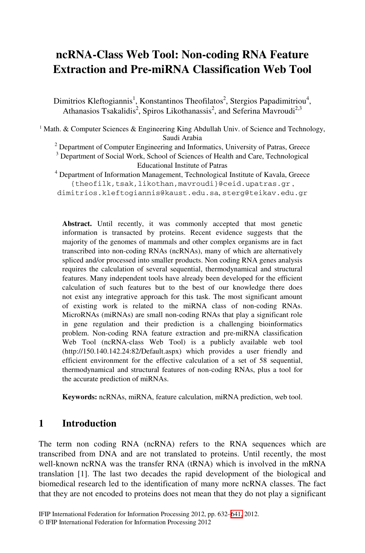# **ncRNA-Class Web Tool: Non-coding RNA Feature Extraction and Pre-miRNA Classification Web Tool**

Dimitrios Kleftogiannis<sup>1</sup>, Konstantinos Theofilatos<sup>2</sup>, Stergios Papadimitriou<sup>4</sup>, Athanasios Tsakalidis<sup>2</sup>, Spiros Likothanassis<sup>2</sup>, and Seferina Mavroudi<sup>2,3</sup>

<sup>1</sup> Math. & Computer Sciences & Engineering King Abdullah Univ. of Science and Technology,

Saudi Arabia<br><sup>2</sup> Department of Computer Engineering and Informatics, University of Patras, Greece

<sup>3</sup> Department of Social Work, School of Sciences of Health and Care, Technological

Educational Institute of Patras 4 Department of Information Management, Technological Institute of Kavala, Greece {theofilk,tsak,likothan,mavroudi}@ceid.upatras.gr ,

dimitrios.kleftogiannis@kaust.edu.sa, sterg@teikav.edu.gr

**Abstract.** Until recently, it was commonly accepted that most genetic information is transacted by proteins. Recent evidence suggests that the majority of the genomes of mammals and other complex organisms are in fact transcribed into non-coding RNAs (ncRNAs), many of which are alternatively spliced and/or processed into smaller products. Non coding RNA genes analysis requires the calculation of several sequential, thermodynamical and structural features. Many independent tools have already been developed for the efficient calculation of such features but to the best of our knowledge there does not exist any integrative approach for this task. The most significant amount of existing work is related to the miRNA class of non-coding RNAs. MicroRNAs (miRNAs) are small non-coding RNAs that play a significant role in gene regulation and their prediction is a challenging bioinformatics problem. Non-coding RNA feature extraction and pre-miRNA classification Web Tool (ncRNA-class Web Tool) is a publicly available web tool (http://150.140.142.24:82/Default.aspx) which provides a user friendly and efficient environment for the effective calculation of a set of 58 sequential, thermodynamical and structural features of non-coding RNAs, plus a tool for the accurate prediction of miRNAs.

**Keywords:** ncRNAs, miRNA, feature calculation, miRNA prediction, web tool.

#### **1 Introduction**

The term non coding RNA (ncRN[A\)](#page-9-0) refers to the RNA sequences which are transcribed from DNA and are not translated to proteins. Until recently, the most well-known ncRNA was the transfer RNA (tRNA) which is involved in the mRNA translation [1]. The last two decades the rapid development of the biological and biomedical research led to the identification of many more ncRNA classes. The fact that they are not encoded to proteins does not mean that they do not play a significant

IFIP International Federation for Information Processing 2012, pp. 632–641, 2012.

<sup>©</sup> IFIP International Federation for Information Processing 2012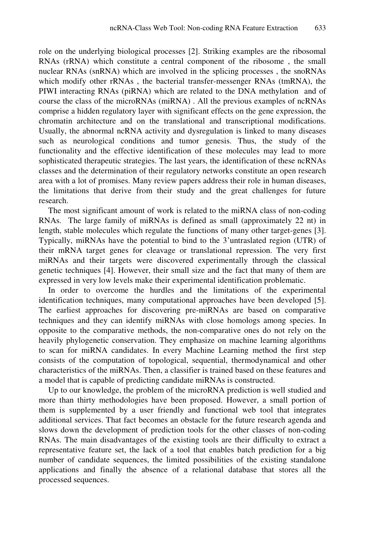role on the underlying biological processes [2]. Striking examples are the ribosomal RNAs (rRNA) which constitute a central component of the ribosome , the small nuclear RNAs (snRNA) which are involved in the splicing processes , the snoRNAs which modify other rRNAs , the bacterial transfer-messenger RNAs (tmRNA), the PIWI interacting RNAs (piRNA) which are related to the DNA methylation and of course the class of the microRNAs (miRNA) . All the previous examples of ncRNAs comprise a hidden regulatory layer with significant effects on the gene expression, the chromatin architecture and on the translational and transcriptional modifications. Usually, the abnormal ncRNA activity and dysregulation is linked to many diseases such as neurological conditions and tumor genesis. Thus, the study of the functionality and the effective identification of these molecules may lead to more sophisticated therapeutic strategies. The last years, the identification of these ncRNAs classes and the determination of their regulatory networks constitute an open research area with a lot of promises. Many review papers address their role in human diseases, the limitations that derive from their study and the great challenges for future research.

The most significant amount of work is related to the miRNA class of non-coding RNAs. The large family of miRNAs is defined as small (approximately 22 nt) in length, stable molecules which regulate the functions of many other target-genes [3]. Typically, miRNAs have the potential to bind to the 3'untraslated region (UTR) of their mRNA target genes for cleavage or translational repression. The very first miRNAs and their targets were discovered experimentally through the classical genetic techniques [4]. However, their small size and the fact that many of them are expressed in very low levels make their experimental identification problematic.

In order to overcome the hurdles and the limitations of the experimental identification techniques, many computational approaches have been developed [5]. The earliest approaches for discovering pre-miRNAs are based on comparative techniques and they can identify miRNAs with close homologs among species. In opposite to the comparative methods, the non-comparative ones do not rely on the heavily phylogenetic conservation. They emphasize on machine learning algorithms to scan for miRNA candidates. In every Machine Learning method the first step consists of the computation of topological, sequential, thermodynamical and other characteristics of the miRNAs. Then, a classifier is trained based on these features and a model that is capable of predicting candidate miRNAs is constructed.

Up to our knowledge, the problem of the microRNA prediction is well studied and more than thirty methodologies have been proposed. However, a small portion of them is supplemented by a user friendly and functional web tool that integrates additional services. That fact becomes an obstacle for the future research agenda and slows down the development of prediction tools for the other classes of non-coding RNAs. The main disadvantages of the existing tools are their difficulty to extract a representative feature set, the lack of a tool that enables batch prediction for a big number of candidate sequences, the limited possibilities of the existing standalone applications and finally the absence of a relational database that stores all the processed sequences.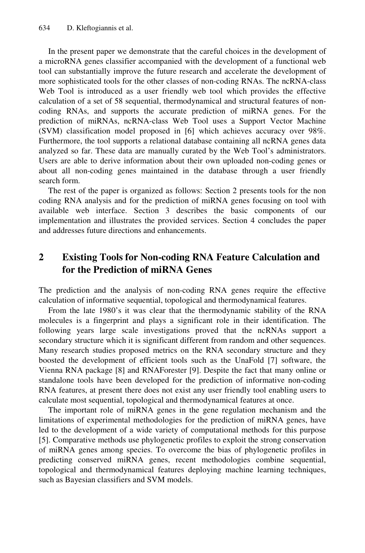In the present paper we demonstrate that the careful choices in the development of a microRNA genes classifier accompanied with the development of a functional web tool can substantially improve the future research and accelerate the development of more sophisticated tools for the other classes of non-coding RNAs. The ncRNA-class Web Tool is introduced as a user friendly web tool which provides the effective calculation of a set of 58 sequential, thermodynamical and structural features of noncoding RNAs, and supports the accurate prediction of miRNA genes. For the prediction of miRNAs, ncRNA-class Web Tool uses a Support Vector Machine (SVM) classification model proposed in [6] which achieves accuracy over 98%. Furthermore, the tool supports a relational database containing all ncRNA genes data analyzed so far. These data are manually curated by the Web Tool's administrators. Users are able to derive information about their own uploaded non-coding genes or about all non-coding genes maintained in the database through a user friendly search form.

The rest of the paper is organized as follows: Section 2 presents tools for the non coding RNA analysis and for the prediction of miRNA genes focusing on tool with available web interface. Section 3 describes the basic components of our implementation and illustrates the provided services. Section 4 concludes the paper and addresses future directions and enhancements.

# **2 Existing Tools for Non-coding RNA Feature Calculation and for the Prediction of miRNA Genes**

The prediction and the analysis of non-coding RNA genes require the effective calculation of informative sequential, topological and thermodynamical features.

From the late 1980's it was clear that the thermodynamic stability of the RNA molecules is a fingerprint and plays a significant role in their identification. The following years large scale investigations proved that the ncRNAs support a secondary structure which it is significant different from random and other sequences. Many research studies proposed metrics on the RNA secondary structure and they boosted the development of efficient tools such as the UnaFold [7] software, the Vienna RNA package [8] and RNAForester [9]. Despite the fact that many online or standalone tools have been developed for the prediction of informative non-coding RNA features, at present there does not exist any user friendly tool enabling users to calculate most sequential, topological and thermodynamical features at once.

The important role of miRNA genes in the gene regulation mechanism and the limitations of experimental methodologies for the prediction of miRNA genes, have led to the development of a wide variety of computational methods for this purpose [5]. Comparative methods use phylogenetic profiles to exploit the strong conservation of miRNA genes among species. To overcome the bias of phylogenetic profiles in predicting conserved miRNA genes, recent methodologies combine sequential, topological and thermodynamical features deploying machine learning techniques, such as Bayesian classifiers and SVM models.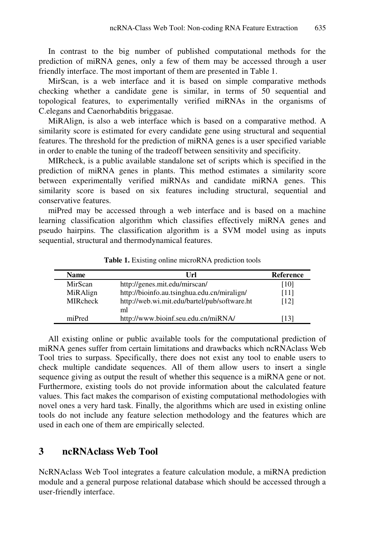In contrast to the big number of published computational methods for the prediction of miRNA genes, only a few of them may be accessed through a user friendly interface. The most important of them are presented in Table 1.

MirScan, is a web interface and it is based on simple comparative methods checking whether a candidate gene is similar, in terms of 50 sequential and topological features, to experimentally verified miRNAs in the organisms of C.elegans and Caenorhabditis briggasae.

MiRAlign, is also a web interface which is based on a comparative method. A similarity score is estimated for every candidate gene using structural and sequential features. The threshold for the prediction of miRNA genes is a user specified variable in order to enable the tuning of the tradeoff between sensitivity and specificity.

MIRcheck, is a public available standalone set of scripts which is specified in the prediction of miRNA genes in plants. This method estimates a similarity score between experimentally verified miRNAs and candidate miRNA genes. This similarity score is based on six features including structural, sequential and conservative features.

miPred may be accessed through a web interface and is based on a machine learning classification algorithm which classifies effectively miRNA genes and pseudo hairpins. The classification algorithm is a SVM model using as inputs sequential, structural and thermodynamical features.

| <b>Name</b>     | Url                                                | <b>Reference</b> |
|-----------------|----------------------------------------------------|------------------|
| MirScan         | http://genes.mit.edu/mirscan/                      | [10]             |
| MiRAlign        | http://bioinfo.au.tsinghua.edu.cn/miralign/        | [11]             |
| <b>MIRcheck</b> | http://web.wi.mit.edu/bartel/pub/software.ht<br>ml | [12]             |
| miPred          | http://www.bioinf.seu.edu.cn/miRNA/                | 131              |

**Table 1.** Existing online microRNA prediction tools

All existing online or public available tools for the computational prediction of miRNA genes suffer from certain limitations and drawbacks which ncRNAclass Web Tool tries to surpass. Specifically, there does not exist any tool to enable users to check multiple candidate sequences. All of them allow users to insert a single sequence giving as output the result of whether this sequence is a miRNA gene or not. Furthermore, existing tools do not provide information about the calculated feature values. This fact makes the comparison of existing computational methodologies with novel ones a very hard task. Finally, the algorithms which are used in existing online tools do not include any feature selection methodology and the features which are used in each one of them are empirically selected.

### **3 ncRNAclass Web Tool**

NcRNAclass Web Tool integrates a feature calculation module, a miRNA prediction module and a general purpose relational database which should be accessed through a user-friendly interface.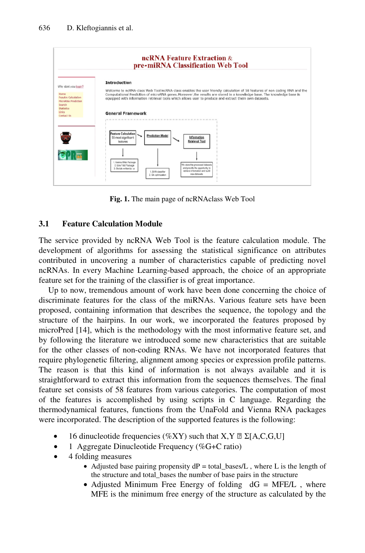|                                                                                                                                               | ncRNA Feature Extraction &<br>pre-miRNA Classification Web Tool                                                                                                                                                                                                                                                                                                                                                    |
|-----------------------------------------------------------------------------------------------------------------------------------------------|--------------------------------------------------------------------------------------------------------------------------------------------------------------------------------------------------------------------------------------------------------------------------------------------------------------------------------------------------------------------------------------------------------------------|
| Why dont you login?<br>Home<br><b>Feautre Calculation</b><br><b>MicroRNA</b> Prediction<br>Search<br><b>Statistics</b><br>Links<br>Contact Us | <b>Introduction</b><br>Welcome to ncRNA-class Web ToolIncRNA-class enables the user friendly calculation of 58 features of non coding RNA and the<br>Computational Prediction of microRNA genes. Moreover, the results are stored in a knowledge base. The knowledge base is<br>equipped with information retrieval tools which allows user to produce and extract thein own datasets.<br><b>General Framework</b> |
| $\bigcirc$ $\bigcirc$ $\bigcirc$ $\bigcirc$                                                                                                   | <b>Feature Calculation</b><br><b>Prediction Model</b><br>55 most significant<br>Information<br><b>Retrieval Tool</b><br>features<br>1. Vienna RNA Package<br>We store the processed datasets<br>2. Una Fold Package<br>and provide the opportunity to<br>3. Sicripts written by us.<br>retrieve information and build<br>1. SVM classifier<br>new datasets<br>2. GA cotimization                                   |

**Fig. 1.** The main page of ncRNAclass Web Tool

#### **3.1 Feature Calculation Module**

The service provided by ncRNA Web Tool is the feature calculation module. The development of algorithms for assessing the statistical significance on attributes contributed in uncovering a number of characteristics capable of predicting novel ncRNAs. In every Machine Learning-based approach, the choice of an appropriate feature set for the training of the classifier is of great importance.

Up to now, tremendous amount of work have been done concerning the choice of discriminate features for the class of the miRNAs. Various feature sets have been proposed, containing information that describes the sequence, the topology and the structure of the hairpins. In our work, we incorporated the features proposed by microPred [14], which is the methodology with the most informative feature set, and by following the literature we introduced some new characteristics that are suitable for the other classes of non-coding RNAs. We have not incorporated features that require phylogenetic filtering, alignment among species or expression profile patterns. The reason is that this kind of information is not always available and it is straightforward to extract this information from the sequences themselves. The final feature set consists of 58 features from various categories. The computation of most of the features is accomplished by using scripts in C language. Regarding the thermodynamical features, functions from the UnaFold and Vienna RNA packages were incorporated. The description of the supported features is the following:

- 16 dinucleotide frequencies (%XY) such that  $X, Y \mathbb{Z} \Sigma[A, C, G, U]$
- 1 Aggregate Dinucleotide Frequency (%G+C ratio)
- 4 folding measures
	- Adjusted base pairing propensity  $dP = \text{total}$  bases/L, where L is the length of the structure and total\_bases the number of base pairs in the structure
	- Adjusted Minimum Free Energy of folding  $dG = MFE/L$ , where MFE is the minimum free energy of the structure as calculated by the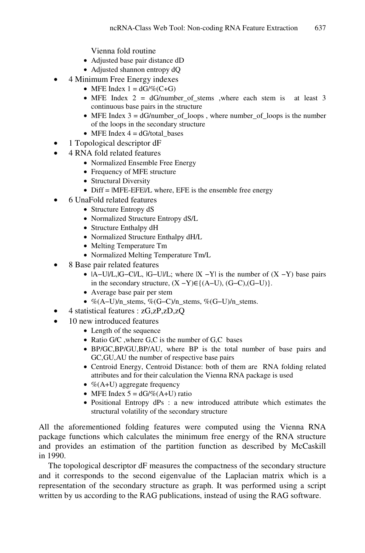Vienna fold routine

- Adjusted base pair distance dD
- Adjusted shannon entropy dQ
- 4 Minimum Free Energy indexes
	- MFE Index  $1 = dG/\mathcal{C}/C+G$ 
		- MFE Index  $2 = dG/number$  of stems ,where each stem is at least 3 continuous base pairs in the structure
		- MFE Index  $3 = dG/number$  of loops, where number of loops is the number of the loops in the secondary structure
		- MFE Index  $4 = dG/total$  bases
- 1 Topological descriptor dF
- 4 RNA fold related features
	- Normalized Ensemble Free Energy
	- Frequency of MFE structure
	- Structural Diversity
	- Diff =  $IMFE-EFE/L$  where, EFE is the ensemble free energy
- 6 UnaFold related features
	- Structure Entropy dS
	- Normalized Structure Entropy dS/L
	- Structure Enthalpy dH
	- Normalized Structure Enthalpy dH/L
	- Melting Temperature Tm
	- Normalized Melting Temperature Tm/L
- 8 Base pair related features
	- $|A-U|/L$ ,  $|G-C|/L$ ,  $|G-U|/L$ ; where  $|X-Y|$  is the number of  $(X-Y)$  base pairs in the secondary structure,  $(X - Y) \in \{(A-U), (G-C), (G-U)\}.$
	- Average base pair per stem
	- %(A–U)/n\_stems, %(G–C)/n\_stems, %(G–U)/n\_stems.
- 4 statistical features : zG,zP,zD,zQ
- 10 new introduced features
	- Length of the sequence
	- Ratio G/C , where G, C is the number of G, C bases
	- BP/GC,BP/GU,BP/AU, where BP is the total number of base pairs and GC,GU,AU the number of respective base pairs
	- Centroid Energy, Centroid Distance: both of them are RNA folding related attributes and for their calculation the Vienna RNA package is used
	- $%(A+U)$  aggregate frequency
	- MFE Index  $5 = dG/\%$  (A+U) ratio
	- Positional Entropy dPs : a new introduced attribute which estimates the structural volatility of the secondary structure

All the aforementioned folding features were computed using the Vienna RNA package functions which calculates the minimum free energy of the RNA structure and provides an estimation of the partition function as described by McCaskill in 1990.

The topological descriptor dF measures the compactness of the secondary structure and it corresponds to the second eigenvalue of the Laplacian matrix which is a representation of the secondary structure as graph. It was performed using a script written by us according to the RAG publications, instead of using the RAG software.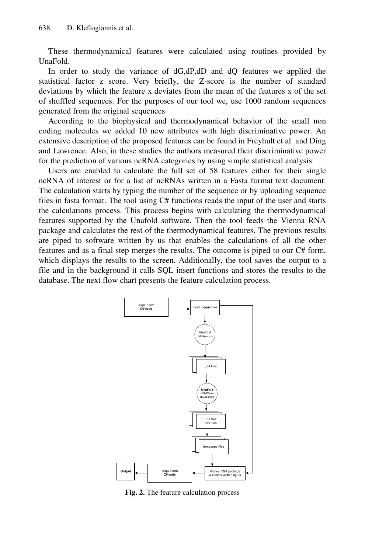These thermodynamical features were calculated using routines provided by UnaFold.

In order to study the variance of dG,dP,dD and dQ features we applied the statistical factor z score. Very briefly, the Z-score is the number of standard deviations by which the feature x deviates from the mean of the features x of the set of shuffled sequences. For the purposes of our tool we, use 1000 random sequences generated from the original sequences

According to the biophysical and thermodynamical behavior of the small non coding molecules we added 10 new attributes with high discriminative power. An extensive description of the proposed features can be found in Freyhult et al. and Ding and Lawrence. Also, in these studies the authors measured their discriminative power for the prediction of various ncRNA categories by using simple statistical analysis.

Users are enabled to calculate the full set of 58 features either for their single ncRNA of interest or for a list of ncRNAs written in a Fasta format text document. The calculation starts by typing the number of the sequence or by uploading sequence files in fasta format. The tool using C# functions reads the input of the user and starts the calculations process. This process begins with calculating the thermodynamical features supported by the Unafold software. Then the tool feeds the Vienna RNA package and calculates the rest of the thermodynamical features. The previous results are piped to software written by us that enables the calculations of all the other features and as a final step merges the results. The outcome is piped to our C# form, which displays the results to the screen. Additionally, the tool saves the output to a file and in the background it calls SQL insert functions and stores the results to the database. The next flow chart presents the feature calculation process.



**Fig. 2.** The feature calculation process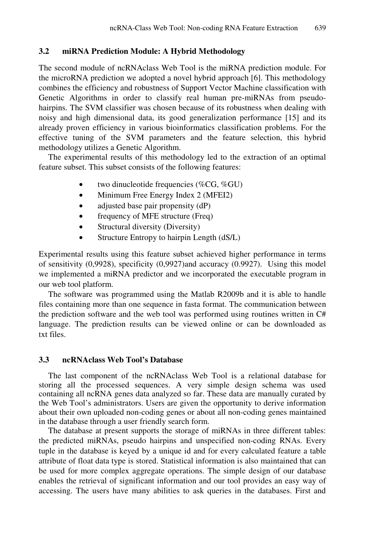#### **3.2 miRNA Prediction Module: A Hybrid Methodology**

The second module of ncRNAclass Web Tool is the miRNA prediction module. For the microRNA prediction we adopted a novel hybrid approach [6]. This methodology combines the efficiency and robustness of Support Vector Machine classification with Genetic Algorithms in order to classify real human pre-miRNAs from pseudohairpins. The SVM classifier was chosen because of its robustness when dealing with noisy and high dimensional data, its good generalization performance [15] and its already proven efficiency in various bioinformatics classification problems. For the effective tuning of the SVM parameters and the feature selection, this hybrid methodology utilizes a Genetic Algorithm.

The experimental results of this methodology led to the extraction of an optimal feature subset. This subset consists of the following features:

- two dinucleotide frequencies (%CG, %GU)
- Minimum Free Energy Index 2 (MFEI2)
- adjusted base pair propensity (dP)
- frequency of MFE structure (Freq)
- Structural diversity (Diversity)
- Structure Entropy to hairpin Length (dS/L)

Experimental results using this feature subset achieved higher performance in terms of sensitivity (0,9928), specificity (0,9927)and accuracy (0.9927). Using this model we implemented a miRNA predictor and we incorporated the executable program in our web tool platform.

The software was programmed using the Matlab R2009b and it is able to handle files containing more than one sequence in fasta format. The communication between the prediction software and the web tool was performed using routines written in  $C#$ language. The prediction results can be viewed online or can be downloaded as txt files.

#### **3.3 ncRNAclass Web Tool's Database**

The last component of the ncRNAclass Web Tool is a relational database for storing all the processed sequences. A very simple design schema was used containing all ncRNA genes data analyzed so far. These data are manually curated by the Web Tool's administrators. Users are given the opportunity to derive information about their own uploaded non-coding genes or about all non-coding genes maintained in the database through a user friendly search form.

The database at present supports the storage of miRNAs in three different tables: the predicted miRNAs, pseudo hairpins and unspecified non-coding RNAs. Every tuple in the database is keyed by a unique id and for every calculated feature a table attribute of float data type is stored. Statistical information is also maintained that can be used for more complex aggregate operations. The simple design of our database enables the retrieval of significant information and our tool provides an easy way of accessing. The users have many abilities to ask queries in the databases. First and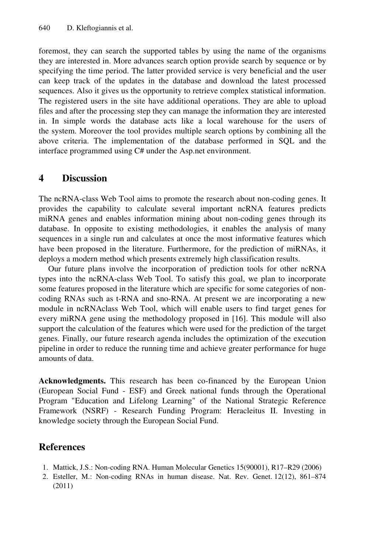foremost, they can search the supported tables by using the name of the organisms they are interested in. More advances search option provide search by sequence or by specifying the time period. The latter provided service is very beneficial and the user can keep track of the updates in the database and download the latest processed sequences. Also it gives us the opportunity to retrieve complex statistical information. The registered users in the site have additional operations. They are able to upload files and after the processing step they can manage the information they are interested in. In simple words the database acts like a local warehouse for the users of the system. Moreover the tool provides multiple search options by combining all the above criteria. The implementation of the database performed in SQL and the interface programmed using C# under the Asp.net environment.

## **4 Discussion**

The ncRNA-class Web Tool aims to promote the research about non-coding genes. It provides the capability to calculate several important ncRNA features predicts miRNA genes and enables information mining about non-coding genes through its database. In opposite to existing methodologies, it enables the analysis of many sequences in a single run and calculates at once the most informative features which have been proposed in the literature. Furthermore, for the prediction of miRNAs, it deploys a modern method which presents extremely high classification results.

Our future plans involve the incorporation of prediction tools for other ncRNA types into the ncRNA-class Web Tool. To satisfy this goal, we plan to incorporate some features proposed in the literature which are specific for some categories of noncoding RNAs such as t-RNA and sno-RNA. At present we are incorporating a new module in ncRNAclass Web Tool, which will enable users to find target genes for every miRNA gene using the methodology proposed in [16]. This module will also support the calculation of the features which were used for the prediction of the target genes. Finally, our future research agenda includes the optimization of the execution pipeline in order to reduce the running time and achieve greater performance for huge amounts of data.

**Acknowledgments.** This research has been co-financed by the European Union (European Social Fund - ESF) and Greek national funds through the Operational Program "Education and Lifelong Learning" of the National Strategic Reference Framework (NSRF) - Research Funding Program: Heracleitus II. Investing in knowledge society through the European Social Fund.

# **References**

- 1. Mattick, J.S.: Non-coding RNA. Human Molecular Genetics 15(90001), R17–R29 (2006)
- 2. Esteller, M.: Non-coding RNAs in human disease. Nat. Rev. Genet. 12(12), 861–874 (2011)